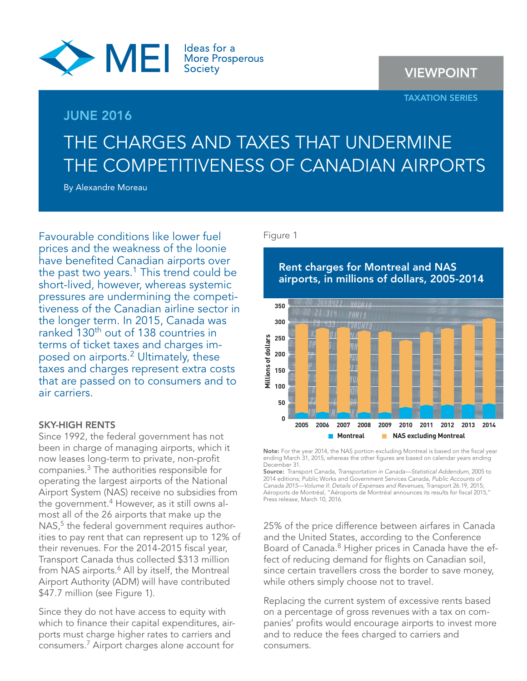

## **JUNE 2016**

# **VIEWPOINT**

### **TAXATION SERIES**

# THE CHARGES AND TAXES THAT UNDERMINE THE COMPETITIVENESS OF CANADIAN AIRPORTS

By Alexandre Moreau

Favourable conditions like lower fuel prices and the weakness of the loonie have benefited Canadian airports over the past two years.<sup>1</sup> This trend could be short-lived, however, whereas systemic pressures are undermining the competitiveness of the Canadian airline sector in the longer term. In 2015, Canada was ranked 130<sup>th</sup> out of 138 countries in terms of ticket taxes and charges imposed on airports.<sup>2</sup> Ultimately, these taxes and charges represent extra costs that are passed on to consumers and to air carriers.

## **SKY-HIGH RENTS**

Since 1992, the federal government has not been in charge of managing airports, which it now leases long-term to private, non-profit companies.3 The authorities responsible for operating the largest airports of the National Airport System (NAS) receive no subsidies from the government.<sup>4</sup> However, as it still owns almost all of the 26 airports that make up the NAS,<sup>5</sup> the federal government requires authorities to pay rent that can represent up to 12% of their revenues. For the 2014-2015 fiscal year, Transport Canada thus collected \$313 million from NAS airports.<sup>6</sup> All by itself, the Montreal Airport Authority (ADM) will have contributed \$47.7 million (see Figure 1).

Since they do not have access to equity with which to finance their capital expenditures, airports must charge higher rates to carriers and consumers.7 Airport charges alone account for

Figure 1



Note: For the year 2014, the NAS portion excluding Montreal is based on the fiscal year ending March 31, 2015, whereas the other figures are based on calendar years ending December 31.

**Source:** Transport Canada, Transportation in Canada—Statistical Addendum, 2005 to 2014 editions; Public Works and Government Services Canada, Public Accounts of Canada 2015—Volume II: Details of Expenses and Revenues, Transport 26.19, 2015; Aéroports de Montréal, "Aéroports de Montréal announces its results for fiscal 2015," Press release, March 10, 2016.

25% of the price difference between airfares in Canada and the United States, according to the Conference Board of Canada.<sup>8</sup> Higher prices in Canada have the effect of reducing demand for flights on Canadian soil, since certain travellers cross the border to save money, while others simply choose not to travel.

Replacing the current system of excessive rents based on a percentage of gross revenues with a tax on companies' profits would encourage airports to invest more and to reduce the fees charged to carriers and consumers.